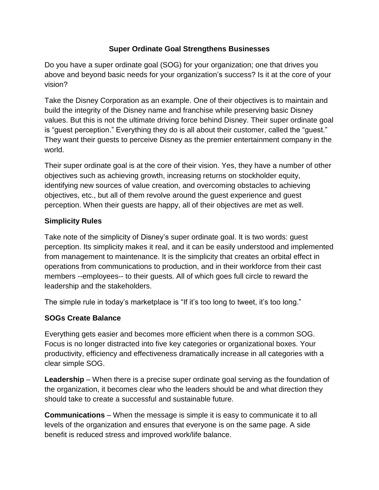## **Super Ordinate Goal Strengthens Businesses**

Do you have a super ordinate goal (SOG) for your organization; one that drives you above and beyond basic needs for your organization's success? Is it at the core of your vision?

Take the Disney Corporation as an example. One of their objectives is to maintain and build the integrity of the Disney name and franchise while preserving basic Disney values. But this is not the ultimate driving force behind Disney. Their super ordinate goal is "guest perception." Everything they do is all about their customer, called the "guest." They want their guests to perceive Disney as the premier entertainment company in the world.

Their super ordinate goal is at the core of their vision. Yes, they have a number of other objectives such as achieving growth, increasing returns on stockholder equity, identifying new sources of value creation, and overcoming obstacles to achieving objectives, etc., but all of them revolve around the guest experience and guest perception. When their guests are happy, all of their objectives are met as well.

## **Simplicity Rules**

Take note of the simplicity of Disney's super ordinate goal. It is two words: guest perception. Its simplicity makes it real, and it can be easily understood and implemented from management to maintenance. It is the simplicity that creates an orbital effect in operations from communications to production, and in their workforce from their cast members --employees-- to their guests. All of which goes full circle to reward the leadership and the stakeholders.

The simple rule in today's marketplace is "If it's too long to tweet, it's too long."

## **SOGs Create Balance**

Everything gets easier and becomes more efficient when there is a common SOG. Focus is no longer distracted into five key categories or organizational boxes. Your productivity, efficiency and effectiveness dramatically increase in all categories with a clear simple SOG.

**Leadership** – When there is a precise super ordinate goal serving as the foundation of the organization, it becomes clear who the leaders should be and what direction they should take to create a successful and sustainable future.

**Communications** – When the message is simple it is easy to communicate it to all levels of the organization and ensures that everyone is on the same page. A side benefit is reduced stress and improved work/life balance.